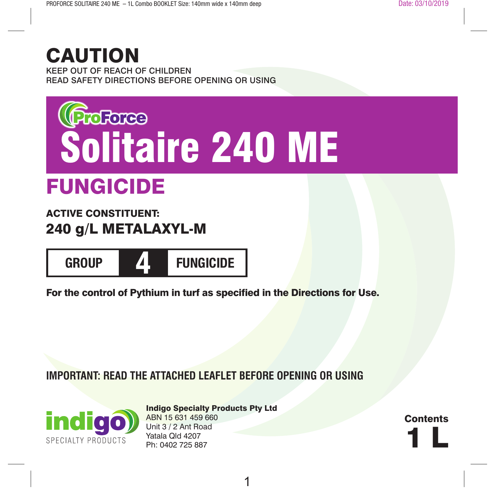# CAUTION

KEEP OUT OF REACH OF CHILDREN READ SAFETY DIRECTIONS BEFORE OPENING OR USING



# FUNGICIDE

## ACTIVE CONSTITUENT: 240 g/L METALAXYL-M



For the control of Pythium in turf as specified in the Directions for Use.

### **IMPORTANT: READ THE ATTACHED LEAFLET BEFORE OPENING OR USING**



Indigo Specialty Products Pty Ltd ABN 15 631 459 660 Unit 3 / 2 Ant Road Yatala Qld 4207<br>Ph: 0402 725 887 Unit 3 / 2 Ant Hoad<br>Yatala Qld 4207<br>Ph: 0402 725 887

**Contents**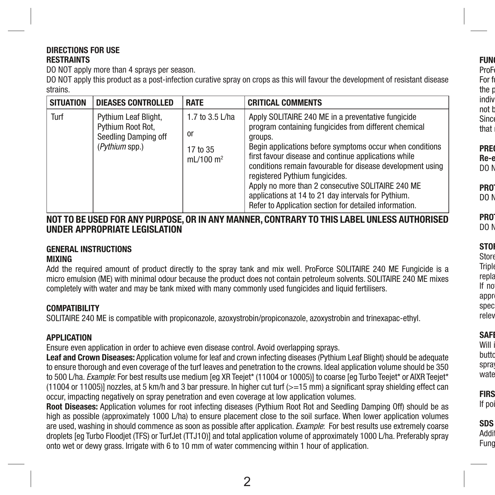#### **DIRECTIONS FOR USE RESTRAINTS**

DO NOT apply more than 4 sprays per season.

DO NOT apply this product as a post-infection curative spray on crops as this will favour the development of resistant disease strains.

| <b>SITUATION</b> | <b>DIEASES CONTROLLED</b>                                                                   | <b>RATE</b>                                      | <b>CRITICAL COMMENTS</b>                                                                                                                                                                                                                                                                                                                                                                                                                                                                                         |
|------------------|---------------------------------------------------------------------------------------------|--------------------------------------------------|------------------------------------------------------------------------------------------------------------------------------------------------------------------------------------------------------------------------------------------------------------------------------------------------------------------------------------------------------------------------------------------------------------------------------------------------------------------------------------------------------------------|
| Turf             | Pythium Leaf Blight,<br>Pythium Root Rot,<br>Seedling Damping off<br>( <i>Pythium</i> spp.) | 1.7 to 3.5 L/ha<br>0r<br>17 to 35<br>mL/100 $m2$ | Apply SOLITAIRE 240 ME in a preventative fungicide<br>program containing fungicides from different chemical<br>groups.<br>Begin applications before symptoms occur when conditions<br>first favour disease and continue applications while<br>conditions remain favourable for disease development using<br>registered Pythium fungicides.<br>Apply no more than 2 consecutive SOLITAIRE 240 ME<br>applications at 14 to 21 day intervals for Pythium.<br>Refer to Application section for detailed information. |

#### **NOT TO BE USED FOR ANY PURPOSE, OR IN ANY MANNER, CONTRARY TO THIS LABEL UNLESS AUTHORISED UNDER APPROPRIATE LEGISLATION**

### **GENERAL INSTRUCTIONS**

#### **MIXING**

Add the required amount of product directly to the spray tank and mix well. ProForce SOLITAIRE 240 ME Fungicide is a micro emulsion (ME) with minimal odour because the product does not contain petroleum solvents. SOLITAIRE 240 ME mixes completely with water and may be tank mixed with many commonly used fungicides and liquid fertilisers.

#### **COMPATIBILITY**

SOLITAIRE 240 ME is compatible with propiconazole, azoxystrobin/propiconazole, azoxystrobin and trinexapac-ethyl.

#### **APPLICATION**

Ensure even application in order to achieve even disease control. Avoid overlapping sprays.

**Leaf and Crown Diseases:** Application volume for leaf and crown infecting diseases (Pythium Leaf Blight) should be adequate to ensure thorough and even coverage of the turf leaves and penetration to the crowns. Ideal application volume should be 350 to 500 L/ha. *Example*: For best results use medium [eg XR Teejet\* (11004 or 10005)] to coarse [eg Turbo Teejet\* or AIXR Teejet\*  $(11004$  or  $11005$ ] nozzles, at 5 km/h and 3 bar pressure. In higher cut turf ( $>=15$  mm) a significant spray shielding effect can occur, impacting negatively on spray penetration and even coverage at low application volumes.

**Root Diseases:** Application volumes for root infecting diseases (Pythium Root Rot and Seedling Damping Off) should be as high as possible (approximately 1000 L/ha) to ensure placement close to the soil surface. When lower application volumes are used, washing in should commence as soon as possible after application. *Example*: For best results use extremely coarse droplets [eg Turbo Floodjet (TFS) or TurfJet (TTJ1O)] and total application volume of approximately 1000 L/ha. Preferably spray onto wet or dewy grass. Irrigate with 6 to 10 mm of water commencing within 1 hour of application.

#### **FUNG** ProF For fu

the p indiv not b  $Sinc$ that i

#### **PREC** Re-e

DO N

#### **PRO** DO N

**PROTECTION OF WILDLIFE, FISH, CRUSTACEANS AND ENVIRONMENT** DO N

#### **STO**

Store Triple repla If not appro spec relev

# **SAFI**

Will i butto spray wate

**FIRS** If poi

**SDS** Addit Fung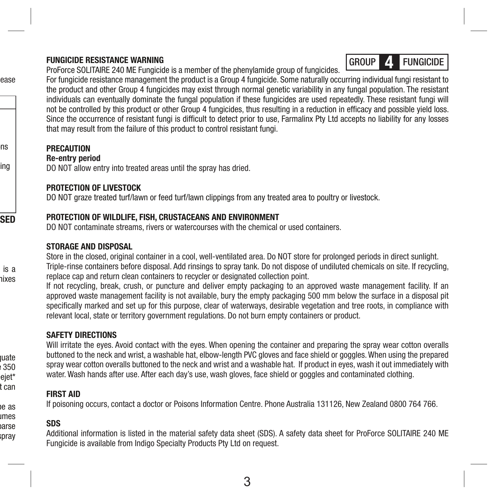#### **FUNGICIDE RESISTANCE WARNING**

ProForce SOLITAIRE 240 ME Fungicide is a member of the phenylamide group of fungicides.



For fungicide resistance management the product is a Group 4 fungicide. Some naturally occurring individual fungi resistant to the product and other Group 4 fungicides may exist through normal genetic variability in any fungal population. The resistant individuals can eventually dominate the fungal population if these fungicides are used repeatedly. These resistant fungi will not be controlled by this product or other Group 4 fungicides, thus resulting in a reduction in efficacy and possible yield loss. Since the occurrence of resistant fungi is difficult to detect prior to use, Farmalinx Pty Ltd accepts no liability for any losses that may result from the failure of this product to control resistant fungi.

#### **PRECAUTION**

ease

is a nixes

**uate**  $e 350$ ejet\* t can **Root Diseases:** Application volumes for root infecting diseases (Pythium Root Rot and Seedling Damping Off) should be as imes arse pray

ns ing

**Re-entry period**

DO NOT allow entry into treated areas until the spray has dried.

#### **PROTECTION OF LIVESTOCK**

DO NOT graze treated turf/lawn or feed turf/lawn clippings from any treated area to poultry or livestock.

#### **SED PROTECTION OF WILDLIFE, FISH, CRUSTACEANS AND ENVIRONMENT**

DO NOT contaminate streams, rivers or watercourses with the chemical or used containers.

#### **STORAGE AND DISPOSAL**

Store in the closed, original container in a cool, well-ventilated area. Do NOT store for prolonged periods in direct sunlight. Triple-rinse containers before disposal. Add rinsings to spray tank. Do not dispose of undiluted chemicals on site. If recycling, replace cap and return clean containers to recycler or designated collection point.

If not recycling, break, crush, or puncture and deliver empty packaging to an approved waste management facility. If an approved waste management facility is not available, bury the empty packaging 500 mm below the surface in a disposal pit specifically marked and set up for this purpose, clear of waterways, desirable vegetation and tree roots, in compliance with relevant local, state or territory government regulations. Do not burn empty containers or product.

#### **SAFETY DIRECTIONS**

Will irritate the eyes. Avoid contact with the eyes. When opening the container and preparing the spray wear cotton overalls buttoned to the neck and wrist, a washable hat, elbow-length PVC gloves and face shield or goggles. When using the prepared spray wear cotton overalls buttoned to the neck and wrist and a washable hat. If product in eyes, wash it out immediately with water. Wash hands after use. After each day's use, wash gloves, face shield or goggles and contaminated clothing.

#### **FIRST AID**

If poisoning occurs, contact a doctor or Poisons Information Centre. Phone Australia 131126, New Zealand 0800 764 766.

#### **SDS**

Additional information is listed in the material safety data sheet (SDS). A safety data sheet for ProForce SOLITAIRE 240 ME Fungicide is available from Indigo Specialty Products Pty Ltd on request.

3